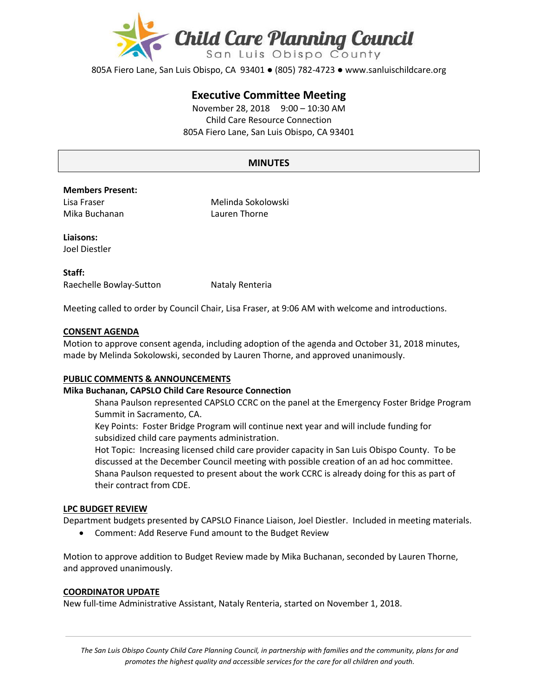

805A Fiero Lane, San Luis Obispo, CA 93401 ● (805) 782-4723 ● www.sanluischildcare.org

# **Executive Committee Meeting**

November 28, 2018 9:00 – 10:30 AM Child Care Resource Connection 805A Fiero Lane, San Luis Obispo, CA 93401

# **MINUTES**

## **Members Present:**

Lisa Fraser Mika Buchanan Melinda Sokolowski Lauren Thorne

**Liaisons:** Joel Diestler

**Staff:** Raechelle Bowlay-Sutton Nataly Renteria

Meeting called to order by Council Chair, Lisa Fraser, at 9:06 AM with welcome and introductions.

## **CONSENT AGENDA**

Motion to approve consent agenda, including adoption of the agenda and October 31, 2018 minutes, made by Melinda Sokolowski, seconded by Lauren Thorne, and approved unanimously.

# **PUBLIC COMMENTS & ANNOUNCEMENTS**

### **Mika Buchanan, CAPSLO Child Care Resource Connection**

Shana Paulson represented CAPSLO CCRC on the panel at the Emergency Foster Bridge Program Summit in Sacramento, CA.

Key Points: Foster Bridge Program will continue next year and will include funding for subsidized child care payments administration.

Hot Topic: Increasing licensed child care provider capacity in San Luis Obispo County. To be discussed at the December Council meeting with possible creation of an ad hoc committee. Shana Paulson requested to present about the work CCRC is already doing for this as part of their contract from CDE.

#### **LPC BUDGET REVIEW**

Department budgets presented by CAPSLO Finance Liaison, Joel Diestler. Included in meeting materials.

Comment: Add Reserve Fund amount to the Budget Review

Motion to approve addition to Budget Review made by Mika Buchanan, seconded by Lauren Thorne, and approved unanimously.

#### **COORDINATOR UPDATE**

New full-time Administrative Assistant, Nataly Renteria, started on November 1, 2018.